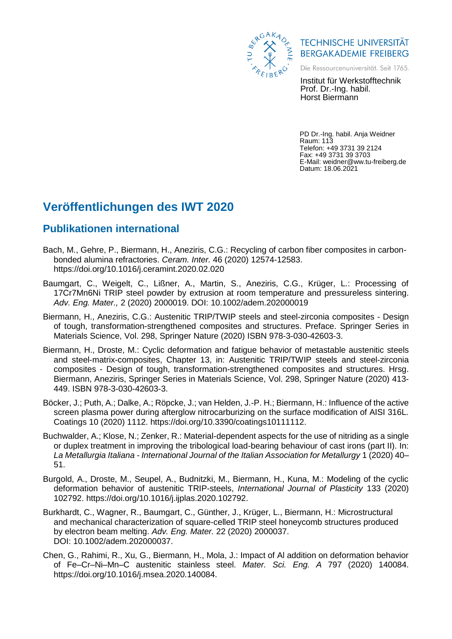

**TECHNISCHE UNIVERSITÄT BERGAKADEMIE FREIBERG** 

Die Ressourcenuniversität. Seit 1765.

Institut für Werkstofftechnik Prof. Dr.-Ing. habil. Horst Biermann

PD Dr.-Ing. habil. Anja Weidner Raum: 113 Telefon: +49 3731 39 2124 Fax: +49 3731 39 3703 E-Mail: weidner@ww.tu-freiberg.de Datum: 18.06.2021

## **Veröffentlichungen des IWT 2020**

## **Publikationen international**

- Bach, M., Gehre, P., Biermann, H., Aneziris, C.G.: Recycling of carbon fiber composites in carbonbonded alumina refractories. *Ceram. Inter.* 46 (2020) 12574-12583. https://doi.org/10.1016/j.ceramint.2020.02.020
- Baumgart, C., Weigelt, C., Lißner, A., Martin, S., Aneziris, C.G., Krüger, L.: Processing of 17Cr7Mn6Ni TRIP steel powder by extrusion at room temperature and pressureless sintering. *Adv. Eng. Mater.,* 2 (2020) 2000019. DOI: 10.1002/adem.202000019
- Biermann, H., Aneziris, C.G.: Austenitic TRIP/TWIP steels and steel-zirconia composites Design of tough, transformation-strengthened composites and structures. Preface. Springer Series in Materials Science, Vol. 298, Springer Nature (2020) ISBN 978-3-030-42603-3.
- Biermann, H., Droste, M.: Cyclic deformation and fatigue behavior of metastable austenitic steels and steel-matrix-composites, Chapter 13, in: Austenitic TRIP/TWIP steels and steel-zirconia composites - Design of tough, transformation-strengthened composites and structures. Hrsg. Biermann, Aneziris, Springer Series in Materials Science, Vol. 298, Springer Nature (2020) 413- 449. ISBN 978-3-030-42603-3.
- Böcker, J.; Puth, A.; Dalke, A.; Röpcke, J.; van Helden, J.-P. H.; Biermann, H.: Influence of the active screen plasma power during afterglow nitrocarburizing on the surface modification of AISI 316L. Coatings 10 (2020) 1112. https://doi.org/10.3390/coatings10111112.
- Buchwalder, A.; Klose, N.; Zenker, R.: Material-dependent aspects for the use of nitriding as a single or duplex treatment in improving the tribological load-bearing behaviour of cast irons (part II). In: *La Metallurgia Italiana - International Journal of the Italian Association for Metallurgy* 1 (2020) 40– 51.
- Burgold, A., Droste, M., Seupel, A., Budnitzki, M., Biermann, H., Kuna, M.: Modeling of the cyclic deformation behavior of austenitic TRIP-steels, *International Journal of Plasticity* 133 (2020) 102792. https://doi.org/10.1016/j.ijplas.2020.102792.
- Burkhardt, C., Wagner, R., Baumgart, C., Günther, J., Krüger, L., Biermann, H.: Microstructural and mechanical characterization of square-celled TRIP steel honeycomb structures produced by electron beam melting. *Adv. Eng. Mater.* 22 (2020) 2000037. DOI: 10.1002/adem.202000037.
- Chen, G., Rahimi, R., Xu, G., Biermann, H., Mola, J.: Impact of Al addition on deformation behavior of Fe–Cr–Ni–Mn–C austenitic stainless steel. *Mater. Sci. Eng. A* 797 (2020) 140084. https://doi.org/10.1016/j.msea.2020.140084.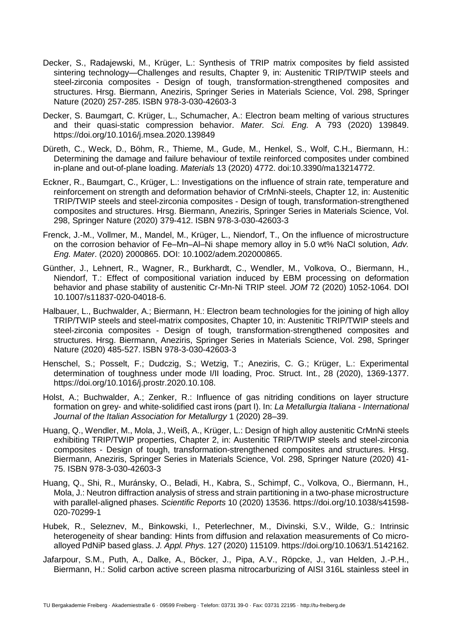- Decker, S., Radajewski, M., Krüger, L.: Synthesis of TRIP matrix composites by field assisted sintering technology—Challenges and results, Chapter 9, in: Austenitic TRIP/TWIP steels and steel-zirconia composites - Design of tough, transformation-strengthened composites and structures. Hrsg. Biermann, Aneziris, Springer Series in Materials Science, Vol. 298, Springer Nature (2020) 257-285. ISBN 978-3-030-42603-3
- Decker, S. Baumgart, C. Krüger, L., Schumacher, A.: Electron beam melting of various structures and their quasi-static compression behavior. *Mater. Sci. Eng.* A 793 (2020) 139849. https://doi.org/10.1016/j.msea.2020.139849
- Düreth, C., Weck, D., Böhm, R., Thieme, M., Gude, M., Henkel, S., Wolf, C.H., Biermann, H.: Determining the damage and failure behaviour of textile reinforced composites under combined in-plane and out-of-plane loading. *Materials* 13 (2020) 4772. doi:10.3390/ma13214772.
- Eckner, R., Baumgart, C., Krüger, L.: Investigations on the influence of strain rate, temperature and reinforcement on strength and deformation behavior of CrMnNi-steels, Chapter 12, in: Austenitic TRIP/TWIP steels and steel-zirconia composites - Design of tough, transformation-strengthened composites and structures. Hrsg. Biermann, Aneziris, Springer Series in Materials Science, Vol. 298, Springer Nature (2020) 379-412. ISBN 978-3-030-42603-3
- Frenck, J.-M., Vollmer, M., Mandel, M., Krüger, L., Niendorf, T., On the influence of microstructure on the corrosion behavior of Fe–Mn–Al–Ni shape memory alloy in 5.0 wt% NaCl solution, *Adv. Eng. Mater*. (2020) 2000865. DOI: 10.1002/adem.202000865.
- Günther, J., Lehnert, R., Wagner, R., Burkhardt, C., Wendler, M., Volkova, O., Biermann, H., Niendorf, T.: Effect of compositional variation induced by EBM processing on deformation behavior and phase stability of austenitic Cr-Mn-Ni TRIP steel. *JOM* 72 (2020) 1052-1064. DOI 10.1007/s11837-020-04018-6.
- Halbauer, L., Buchwalder, A.; Biermann, H.: Electron beam technologies for the joining of high alloy TRIP/TWIP steels and steel-matrix composites, Chapter 10, in: Austenitic TRIP/TWIP steels and steel-zirconia composites - Design of tough, transformation-strengthened composites and structures. Hrsg. Biermann, Aneziris, Springer Series in Materials Science, Vol. 298, Springer Nature (2020) 485-527. ISBN 978-3-030-42603-3
- Henschel, S.; Posselt, F.; Dudczig, S.; Wetzig, T.; Aneziris, C. G.; Krüger, L.: Experimental determination of toughness under mode I/II loading, Proc. Struct. Int., 28 (2020), 1369-1377. https://doi.org/10.1016/j.prostr.2020.10.108.
- Holst, A.; Buchwalder, A.; Zenker, R.: Influence of gas nitriding conditions on layer structure formation on grey- and white-solidified cast irons (part I). In: *La Metallurgia Italiana - International Journal of the Italian Association for Metallurgy* 1 (2020) 28–39.
- Huang, Q., Wendler, M., Mola, J., Weiß, A., Krüger, L.: Design of high alloy austenitic CrMnNi steels exhibiting TRIP/TWIP properties, Chapter 2, in: Austenitic TRIP/TWIP steels and steel-zirconia composites - Design of tough, transformation-strengthened composites and structures. Hrsg. Biermann, Aneziris, Springer Series in Materials Science, Vol. 298, Springer Nature (2020) 41- 75. ISBN 978-3-030-42603-3
- Huang, Q., Shi, R., Muránsky, O., Beladi, H., Kabra, S., Schimpf, C., Volkova, O., Biermann, H., Mola, J.: Neutron diffraction analysis of stress and strain partitioning in a two-phase microstructure with parallel‑aligned phases. *Scientific Reports* 10 (2020) 13536. https://doi.org/10.1038/s41598- 020-70299-1
- Hubek, R., Seleznev, M., Binkowski, I., Peterlechner, M., Divinski, S.V., Wilde, G.: Intrinsic heterogeneity of shear banding: Hints from diffusion and relaxation measurements of Co microalloyed PdNiP based glass. *J. Appl. Phys*. 127 (2020) 115109. [https://doi.org/10.1063/1.5142162.](https://doi.org/10.1063/1.5142162)
- Jafarpour, S.M., Puth, A., Dalke, A., Böcker, J., Pipa, A.V., Röpcke, J., van Helden, J.-P.H., Biermann, H.: Solid carbon active screen plasma nitrocarburizing of AISI 316L stainless steel in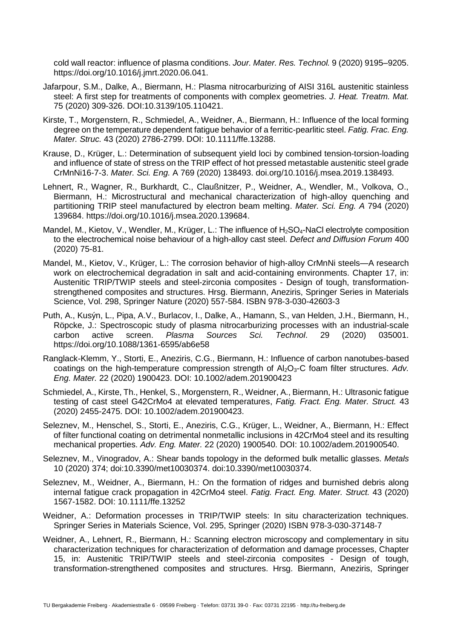cold wall reactor: influence of plasma conditions. *Jour. Mater. Res. Technol.* 9 (2020) 9195–9205. https://doi.org/10.1016/j.jmrt.2020.06.041.

- Jafarpour, S.M., Dalke, A., Biermann, H.: Plasma nitrocarburizing of AISI 316L austenitic stainless steel: A first step for treatments of components with complex geometries. *J. Heat. Treatm. Mat.* 75 (2020) 309-326. DOI:10.3139/105.110421.
- Kirste, T., Morgenstern, R., Schmiedel, A., Weidner, A., Biermann, H.: Influence of the local forming degree on the temperature dependent fatigue behavior of a ferritic-pearlitic steel. *Fatig. Frac. Eng. Mater. Struc.* 43 (2020) 2786-2799. DOI: 10.1111/ffe.13288.
- Krause, D., Krüger, L.: Determination of subsequent yield loci by combined tension-torsion-loading and influence of state of stress on the TRIP effect of hot pressed metastable austenitic steel grade CrMnNi16-7-3. *Mater. Sci. Eng.* A 769 (2020) 138493. doi.org/10.1016/j.msea.2019.138493.
- Lehnert, R., Wagner, R., Burkhardt, C., Claußnitzer, P., Weidner, A., Wendler, M., Volkova, O., Biermann, H.: Microstructural and mechanical characterization of high-alloy quenching and partitioning TRIP steel manufactured by electron beam melting. *Mater. Sci. Eng. A* 794 (2020) 139684. https://doi.org/10.1016/j.msea.2020.139684.
- Mandel, M., Kietov, V., Wendler, M., Krüger, L.: The influence of H<sub>2</sub>SO<sub>4</sub>-NaCl electrolyte composition to the electrochemical noise behaviour of a high-alloy cast steel. *Defect and Diffusion Forum* 400 (2020) 75-81.
- Mandel, M., Kietov, V., Krüger, L.: The corrosion behavior of high-alloy CrMnNi steels—A research work on electrochemical degradation in salt and acid-containing environments. Chapter 17, in: Austenitic TRIP/TWIP steels and steel-zirconia composites - Design of tough, transformationstrengthened composites and structures. Hrsg. Biermann, Aneziris, Springer Series in Materials Science, Vol. 298, Springer Nature (2020) 557-584. ISBN 978-3-030-42603-3
- Puth, A., Kusýn, L., Pipa, A.V., Burlacov, I., Dalke, A., Hamann, S., van Helden, J.H., Biermann, H., Röpcke, J.: Spectroscopic study of plasma nitrocarburizing processes with an industrial-scale carbon active screen. *Plasma Sources Sci. Technol*. 29 (2020) 035001. https://doi.org/10.1088/1361-6595/ab6e58
- Ranglack-Klemm, Y., Storti, E., Aneziris, C.G., Biermann, H.: Influence of carbon nanotubes-based coatings on the high-temperature compression strength of Al<sub>2</sub>O<sub>3</sub>-C foam filter structures. Adv. *Eng. Mater.* 22 (2020) 1900423. DOI: 10.1002/adem.201900423
- Schmiedel, A., Kirste, Th., Henkel, S., Morgenstern, R., Weidner, A., Biermann, H.: Ultrasonic fatigue testing of cast steel G42CrMo4 at elevated temperatures, *Fatig. Fract. Eng. Mater. Struct.* 43 (2020) 2455-2475. DOI: 10.1002/adem.201900423.
- Seleznev, M., Henschel, S., Storti, E., Aneziris, C.G., Krüger, L., Weidner, A., Biermann, H.: Effect of filter functional coating on detrimental nonmetallic inclusions in 42CrMo4 steel and its resulting mechanical properties. *Adv. Eng. Mater.* 22 (2020) 1900540. DOI: 10.1002/adem.201900540.
- Seleznev, M., Vinogradov, A.: Shear bands topology in the deformed bulk metallic glasses. *Metals* 10 (2020) 374; doi:10.3390/met10030374. doi:10.3390/met10030374.
- Seleznev, M., Weidner, A., Biermann, H.: On the formation of ridges and burnished debris along internal fatigue crack propagation in 42CrMo4 steel. *Fatig. Fract. Eng. Mater. Struct.* 43 (2020) 1567-1582. DOI: 10.1111/ffe.13252
- Weidner, A.: Deformation processes in TRIP/TWIP steels: In situ characterization techniques. Springer Series in Materials Science, Vol. 295, Springer (2020) ISBN 978-3-030-37148-7
- Weidner, A., Lehnert, R., Biermann, H.; Scanning electron microscopy and complementary in situ characterization techniques for characterization of deformation and damage processes, Chapter 15, in: Austenitic TRIP/TWIP steels and steel-zirconia composites - Design of tough, transformation-strengthened composites and structures. Hrsg. Biermann, Aneziris, Springer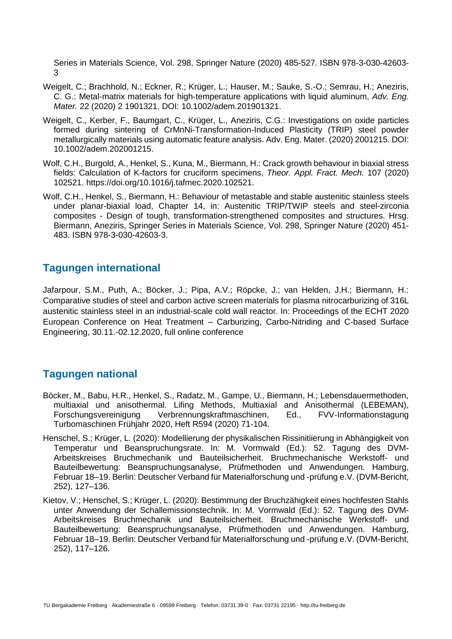Series in Materials Science, Vol. 298, Springer Nature (2020) 485-527. ISBN 978-3-030-42603- 3

- Weigelt, C.; Brachhold, N.; Eckner, R.; Krüger, L.; Hauser, M.; Sauke, S.-O.; Semrau, H.; Aneziris, C. G.: Metal‑matrix materials for high‑temperature applications with liquid aluminum, *Adv. Eng. Mater.* 22 (2020) 2 1901321. DOI: 10.1002/adem.201901321.
- Weigelt, C., Kerber, F., Baumgart, C., Krüger, L., Aneziris, C.G.: Investigations on oxide particles formed during sintering of CrMnNi-Transformation-Induced Plasticity (TRIP) steel powder metallurgically materials using automatic feature analysis. Adv. Eng. Mater. (2020) 2001215. DOI: 10.1002/adem.202001215.
- Wolf, C.H., Burgold, A., Henkel, S., Kuna, M., Biermann, H.: Crack growth behaviour in biaxial stress fields: Calculation of K-factors for cruciform specimens, *Theor. Appl. Fract. Mech.* 107 (2020) 102521. https://doi.org/10.1016/j.tafmec.2020.102521.
- Wolf, C.H., Henkel, S., Biermann, H.: Behaviour of metastable and stable austenitic stainless steels under planar-biaxial load, Chapter 14, in: Austenitic TRIP/TWIP steels and steel-zirconia composites - Design of tough, transformation-strengthened composites and structures. Hrsg. Biermann, Aneziris, Springer Series in Materials Science, Vol. 298, Springer Nature (2020) 451- 483. ISBN 978-3-030-42603-3.

## **Tagungen international**

Jafarpour, S.M., Puth, A.; Böcker, J.; Pipa, A.V.; Röpcke, J.; van Helden, J.H.; Biermann, H.: Comparative studies of steel and carbon active screen materials for plasma nitrocarburizing of 316L austenitic stainless steel in an industrial-scale cold wall reactor. In: Proceedings of the ECHT 2020 European Conference on Heat Treatment – Carburizing, Carbo-Nitriding and C-based Surface Engineering, 30.11.-02.12.2020, full online conference

## **Tagungen national**

- Böcker, M., Babu, H.R., Henkel, S., Radatz, M., Gampe, U., Biermann, H.; Lebensdauermethoden, multiaxial und anisothermal. Lifing Methods, Multiaxial and Anisothermal (LEBEMAN), Forschungsvereinigung Verbrennungskraftmaschinen, Ed., FVV-Informationstagung Turbomaschinen Frühjahr 2020, Heft R594 (2020) 71-104.
- Henschel, S.; Krüger, L. (2020): Modellierung der physikalischen Rissinitiierung in Abhängigkeit von Temperatur und Beanspruchungsrate. In: M. Vormwald (Ed.): 52. Tagung des DVM-Arbeitskreises Bruchmechanik und Bauteilsicherheit. Bruchmechanische Werkstoff- und Bauteilbewertung: Beanspruchungsanalyse, Prüfmethoden und Anwendungen. Hamburg, Februar 18–19. Berlin: Deutscher Verband für Materialforschung und -prüfung e.V. (DVM-Bericht, 252), 127–136.
- Kietov, V.; Henschel, S.; Krüger, L. (2020): Bestimmung der Bruchzähigkeit eines hochfesten Stahls unter Anwendung der Schallemissionstechnik. In: M. Vormwald (Ed.): 52. Tagung des DVM-Arbeitskreises Bruchmechanik und Bauteilsicherheit. Bruchmechanische Werkstoff- und Bauteilbewertung: Beanspruchungsanalyse, Prüfmethoden und Anwendungen. Hamburg, Februar 18–19. Berlin: Deutscher Verband für Materialforschung und -prüfung e.V. (DVM-Bericht, 252), 117–126.